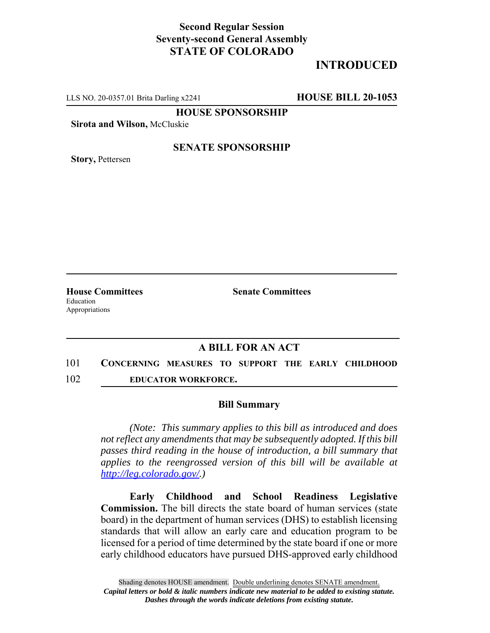## **Second Regular Session Seventy-second General Assembly STATE OF COLORADO**

# **INTRODUCED**

LLS NO. 20-0357.01 Brita Darling x2241 **HOUSE BILL 20-1053**

**HOUSE SPONSORSHIP**

**Sirota and Wilson,** McCluskie

**Story,** Pettersen

#### **SENATE SPONSORSHIP**

**House Committees Senate Committees** Education Appropriations

### **A BILL FOR AN ACT**

- 101 **CONCERNING MEASURES TO SUPPORT THE EARLY CHILDHOOD**
- 102 **EDUCATOR WORKFORCE.**

#### **Bill Summary**

*(Note: This summary applies to this bill as introduced and does not reflect any amendments that may be subsequently adopted. If this bill passes third reading in the house of introduction, a bill summary that applies to the reengrossed version of this bill will be available at http://leg.colorado.gov/.)*

**Early Childhood and School Readiness Legislative Commission.** The bill directs the state board of human services (state board) in the department of human services (DHS) to establish licensing standards that will allow an early care and education program to be licensed for a period of time determined by the state board if one or more early childhood educators have pursued DHS-approved early childhood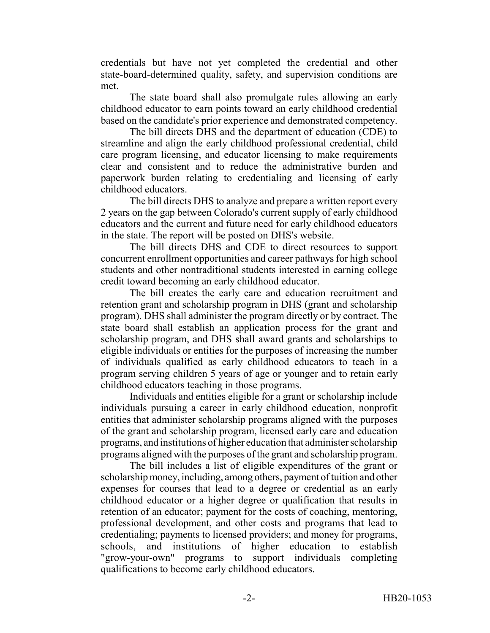credentials but have not yet completed the credential and other state-board-determined quality, safety, and supervision conditions are met.

The state board shall also promulgate rules allowing an early childhood educator to earn points toward an early childhood credential based on the candidate's prior experience and demonstrated competency.

The bill directs DHS and the department of education (CDE) to streamline and align the early childhood professional credential, child care program licensing, and educator licensing to make requirements clear and consistent and to reduce the administrative burden and paperwork burden relating to credentialing and licensing of early childhood educators.

The bill directs DHS to analyze and prepare a written report every 2 years on the gap between Colorado's current supply of early childhood educators and the current and future need for early childhood educators in the state. The report will be posted on DHS's website.

The bill directs DHS and CDE to direct resources to support concurrent enrollment opportunities and career pathways for high school students and other nontraditional students interested in earning college credit toward becoming an early childhood educator.

The bill creates the early care and education recruitment and retention grant and scholarship program in DHS (grant and scholarship program). DHS shall administer the program directly or by contract. The state board shall establish an application process for the grant and scholarship program, and DHS shall award grants and scholarships to eligible individuals or entities for the purposes of increasing the number of individuals qualified as early childhood educators to teach in a program serving children 5 years of age or younger and to retain early childhood educators teaching in those programs.

Individuals and entities eligible for a grant or scholarship include individuals pursuing a career in early childhood education, nonprofit entities that administer scholarship programs aligned with the purposes of the grant and scholarship program, licensed early care and education programs, and institutions of higher education that administer scholarship programs aligned with the purposes of the grant and scholarship program.

The bill includes a list of eligible expenditures of the grant or scholarship money, including, among others, payment of tuition and other expenses for courses that lead to a degree or credential as an early childhood educator or a higher degree or qualification that results in retention of an educator; payment for the costs of coaching, mentoring, professional development, and other costs and programs that lead to credentialing; payments to licensed providers; and money for programs, schools, and institutions of higher education to establish "grow-your-own" programs to support individuals completing qualifications to become early childhood educators.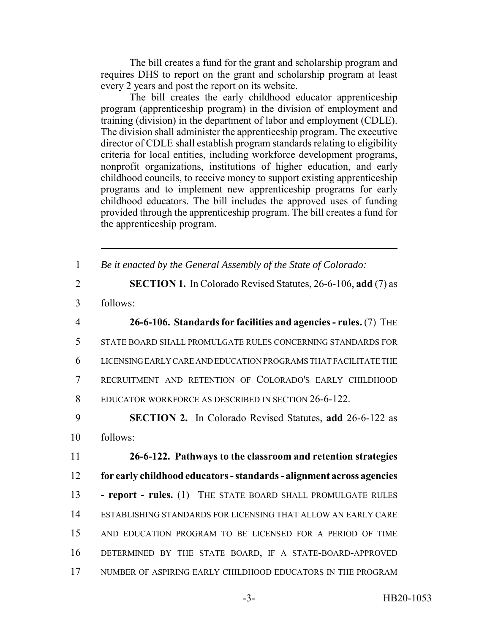The bill creates a fund for the grant and scholarship program and requires DHS to report on the grant and scholarship program at least every 2 years and post the report on its website.

The bill creates the early childhood educator apprenticeship program (apprenticeship program) in the division of employment and training (division) in the department of labor and employment (CDLE). The division shall administer the apprenticeship program. The executive director of CDLE shall establish program standards relating to eligibility criteria for local entities, including workforce development programs, nonprofit organizations, institutions of higher education, and early childhood councils, to receive money to support existing apprenticeship programs and to implement new apprenticeship programs for early childhood educators. The bill includes the approved uses of funding provided through the apprenticeship program. The bill creates a fund for the apprenticeship program.

1 *Be it enacted by the General Assembly of the State of Colorado:*

- 2 **SECTION 1.** In Colorado Revised Statutes, 26-6-106, **add** (7) as
- 3 follows:

 **26-6-106. Standards for facilities and agencies - rules.** (7) THE STATE BOARD SHALL PROMULGATE RULES CONCERNING STANDARDS FOR LICENSING EARLY CARE AND EDUCATION PROGRAMS THAT FACILITATE THE RECRUITMENT AND RETENTION OF COLORADO'S EARLY CHILDHOOD EDUCATOR WORKFORCE AS DESCRIBED IN SECTION 26-6-122. **SECTION 2.** In Colorado Revised Statutes, **add** 26-6-122 as 10 follows:

 **26-6-122. Pathways to the classroom and retention strategies for early childhood educators - standards - alignment across agencies - report - rules.** (1) THE STATE BOARD SHALL PROMULGATE RULES ESTABLISHING STANDARDS FOR LICENSING THAT ALLOW AN EARLY CARE AND EDUCATION PROGRAM TO BE LICENSED FOR A PERIOD OF TIME DETERMINED BY THE STATE BOARD, IF A STATE-BOARD-APPROVED NUMBER OF ASPIRING EARLY CHILDHOOD EDUCATORS IN THE PROGRAM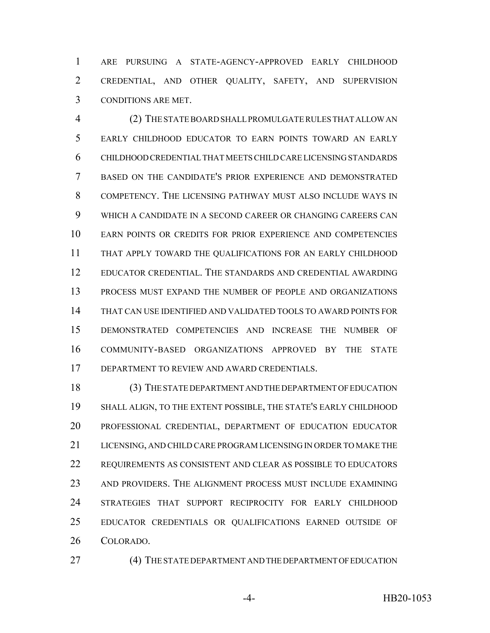ARE PURSUING A STATE-AGENCY-APPROVED EARLY CHILDHOOD CREDENTIAL, AND OTHER QUALITY, SAFETY, AND SUPERVISION CONDITIONS ARE MET.

 (2) THE STATE BOARD SHALL PROMULGATE RULES THAT ALLOW AN EARLY CHILDHOOD EDUCATOR TO EARN POINTS TOWARD AN EARLY CHILDHOOD CREDENTIAL THAT MEETS CHILD CARE LICENSING STANDARDS BASED ON THE CANDIDATE'S PRIOR EXPERIENCE AND DEMONSTRATED COMPETENCY. THE LICENSING PATHWAY MUST ALSO INCLUDE WAYS IN WHICH A CANDIDATE IN A SECOND CAREER OR CHANGING CAREERS CAN EARN POINTS OR CREDITS FOR PRIOR EXPERIENCE AND COMPETENCIES THAT APPLY TOWARD THE QUALIFICATIONS FOR AN EARLY CHILDHOOD EDUCATOR CREDENTIAL. THE STANDARDS AND CREDENTIAL AWARDING PROCESS MUST EXPAND THE NUMBER OF PEOPLE AND ORGANIZATIONS THAT CAN USE IDENTIFIED AND VALIDATED TOOLS TO AWARD POINTS FOR DEMONSTRATED COMPETENCIES AND INCREASE THE NUMBER OF COMMUNITY-BASED ORGANIZATIONS APPROVED BY THE STATE DEPARTMENT TO REVIEW AND AWARD CREDENTIALS.

 (3) THE STATE DEPARTMENT AND THE DEPARTMENT OF EDUCATION SHALL ALIGN, TO THE EXTENT POSSIBLE, THE STATE'S EARLY CHILDHOOD PROFESSIONAL CREDENTIAL, DEPARTMENT OF EDUCATION EDUCATOR LICENSING, AND CHILD CARE PROGRAM LICENSING IN ORDER TO MAKE THE REQUIREMENTS AS CONSISTENT AND CLEAR AS POSSIBLE TO EDUCATORS AND PROVIDERS. THE ALIGNMENT PROCESS MUST INCLUDE EXAMINING STRATEGIES THAT SUPPORT RECIPROCITY FOR EARLY CHILDHOOD EDUCATOR CREDENTIALS OR QUALIFICATIONS EARNED OUTSIDE OF COLORADO.

(4) THE STATE DEPARTMENT AND THE DEPARTMENT OF EDUCATION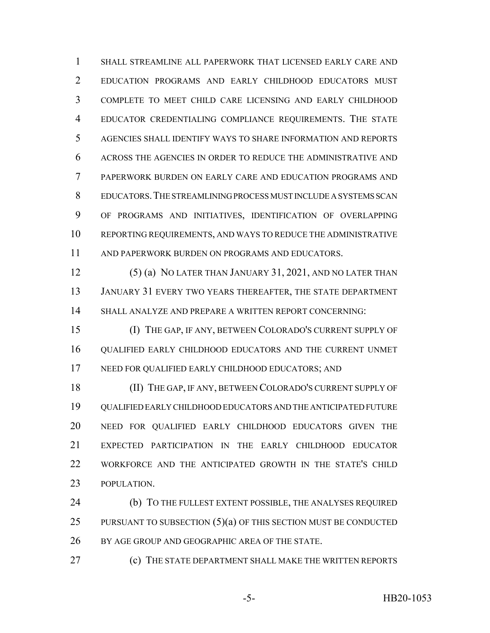SHALL STREAMLINE ALL PAPERWORK THAT LICENSED EARLY CARE AND EDUCATION PROGRAMS AND EARLY CHILDHOOD EDUCATORS MUST COMPLETE TO MEET CHILD CARE LICENSING AND EARLY CHILDHOOD EDUCATOR CREDENTIALING COMPLIANCE REQUIREMENTS. THE STATE AGENCIES SHALL IDENTIFY WAYS TO SHARE INFORMATION AND REPORTS ACROSS THE AGENCIES IN ORDER TO REDUCE THE ADMINISTRATIVE AND PAPERWORK BURDEN ON EARLY CARE AND EDUCATION PROGRAMS AND EDUCATORS.THE STREAMLINING PROCESS MUST INCLUDE A SYSTEMS SCAN OF PROGRAMS AND INITIATIVES, IDENTIFICATION OF OVERLAPPING REPORTING REQUIREMENTS, AND WAYS TO REDUCE THE ADMINISTRATIVE AND PAPERWORK BURDEN ON PROGRAMS AND EDUCATORS.

 (5) (a) NO LATER THAN JANUARY 31, 2021, AND NO LATER THAN JANUARY 31 EVERY TWO YEARS THEREAFTER, THE STATE DEPARTMENT SHALL ANALYZE AND PREPARE A WRITTEN REPORT CONCERNING:

 (I) THE GAP, IF ANY, BETWEEN COLORADO'S CURRENT SUPPLY OF QUALIFIED EARLY CHILDHOOD EDUCATORS AND THE CURRENT UNMET NEED FOR QUALIFIED EARLY CHILDHOOD EDUCATORS; AND

 (II) THE GAP, IF ANY, BETWEEN COLORADO'S CURRENT SUPPLY OF QUALIFIED EARLY CHILDHOOD EDUCATORS AND THE ANTICIPATED FUTURE NEED FOR QUALIFIED EARLY CHILDHOOD EDUCATORS GIVEN THE EXPECTED PARTICIPATION IN THE EARLY CHILDHOOD EDUCATOR WORKFORCE AND THE ANTICIPATED GROWTH IN THE STATE'S CHILD POPULATION.

 (b) TO THE FULLEST EXTENT POSSIBLE, THE ANALYSES REQUIRED 25 PURSUANT TO SUBSECTION  $(5)(a)$  OF THIS SECTION MUST BE CONDUCTED 26 BY AGE GROUP AND GEOGRAPHIC AREA OF THE STATE.

(c) THE STATE DEPARTMENT SHALL MAKE THE WRITTEN REPORTS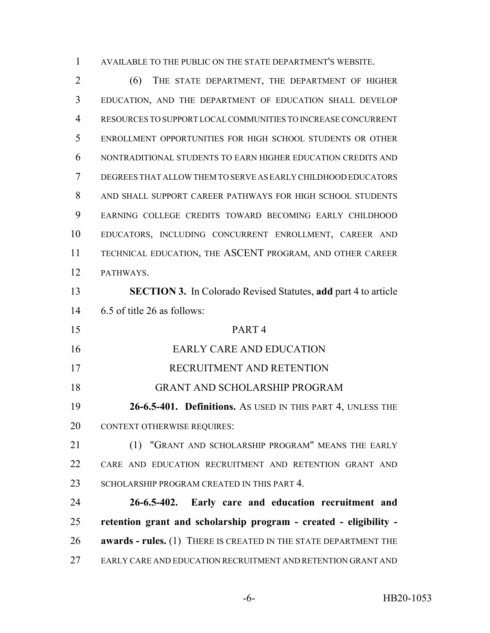AVAILABLE TO THE PUBLIC ON THE STATE DEPARTMENT'S WEBSITE.

 (6) THE STATE DEPARTMENT, THE DEPARTMENT OF HIGHER EDUCATION, AND THE DEPARTMENT OF EDUCATION SHALL DEVELOP RESOURCES TO SUPPORT LOCAL COMMUNITIES TO INCREASE CONCURRENT ENROLLMENT OPPORTUNITIES FOR HIGH SCHOOL STUDENTS OR OTHER NONTRADITIONAL STUDENTS TO EARN HIGHER EDUCATION CREDITS AND DEGREES THAT ALLOW THEM TO SERVE AS EARLY CHILDHOOD EDUCATORS AND SHALL SUPPORT CAREER PATHWAYS FOR HIGH SCHOOL STUDENTS EARNING COLLEGE CREDITS TOWARD BECOMING EARLY CHILDHOOD EDUCATORS, INCLUDING CONCURRENT ENROLLMENT, CAREER AND TECHNICAL EDUCATION, THE ASCENT PROGRAM, AND OTHER CAREER PATHWAYS. **SECTION 3.** In Colorado Revised Statutes, **add** part 4 to article 6.5 of title 26 as follows: PART 4 EARLY CARE AND EDUCATION RECRUITMENT AND RETENTION GRANT AND SCHOLARSHIP PROGRAM **26-6.5-401. Definitions.** AS USED IN THIS PART 4, UNLESS THE CONTEXT OTHERWISE REQUIRES: 21 (1) "GRANT AND SCHOLARSHIP PROGRAM" MEANS THE EARLY CARE AND EDUCATION RECRUITMENT AND RETENTION GRANT AND 23 SCHOLARSHIP PROGRAM CREATED IN THIS PART 4. **26-6.5-402. Early care and education recruitment and retention grant and scholarship program - created - eligibility - awards - rules.** (1) THERE IS CREATED IN THE STATE DEPARTMENT THE EARLY CARE AND EDUCATION RECRUITMENT AND RETENTION GRANT AND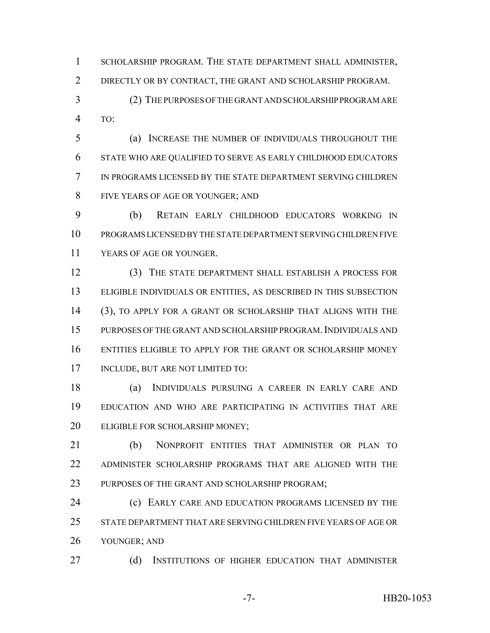SCHOLARSHIP PROGRAM. THE STATE DEPARTMENT SHALL ADMINISTER, DIRECTLY OR BY CONTRACT, THE GRANT AND SCHOLARSHIP PROGRAM.

 (2) THE PURPOSES OF THE GRANT AND SCHOLARSHIP PROGRAM ARE TO:

 (a) INCREASE THE NUMBER OF INDIVIDUALS THROUGHOUT THE STATE WHO ARE QUALIFIED TO SERVE AS EARLY CHILDHOOD EDUCATORS IN PROGRAMS LICENSED BY THE STATE DEPARTMENT SERVING CHILDREN FIVE YEARS OF AGE OR YOUNGER; AND

 (b) RETAIN EARLY CHILDHOOD EDUCATORS WORKING IN PROGRAMS LICENSED BY THE STATE DEPARTMENT SERVING CHILDREN FIVE YEARS OF AGE OR YOUNGER.

 (3) THE STATE DEPARTMENT SHALL ESTABLISH A PROCESS FOR ELIGIBLE INDIVIDUALS OR ENTITIES, AS DESCRIBED IN THIS SUBSECTION (3), TO APPLY FOR A GRANT OR SCHOLARSHIP THAT ALIGNS WITH THE 15 PURPOSES OF THE GRANT AND SCHOLARSHIP PROGRAM. INDIVIDUALS AND ENTITIES ELIGIBLE TO APPLY FOR THE GRANT OR SCHOLARSHIP MONEY INCLUDE, BUT ARE NOT LIMITED TO:

 (a) INDIVIDUALS PURSUING A CAREER IN EARLY CARE AND EDUCATION AND WHO ARE PARTICIPATING IN ACTIVITIES THAT ARE ELIGIBLE FOR SCHOLARSHIP MONEY;

 (b) NONPROFIT ENTITIES THAT ADMINISTER OR PLAN TO ADMINISTER SCHOLARSHIP PROGRAMS THAT ARE ALIGNED WITH THE 23 PURPOSES OF THE GRANT AND SCHOLARSHIP PROGRAM;

**(c) EARLY CARE AND EDUCATION PROGRAMS LICENSED BY THE**  STATE DEPARTMENT THAT ARE SERVING CHILDREN FIVE YEARS OF AGE OR YOUNGER; AND

27 (d) INSTITUTIONS OF HIGHER EDUCATION THAT ADMINISTER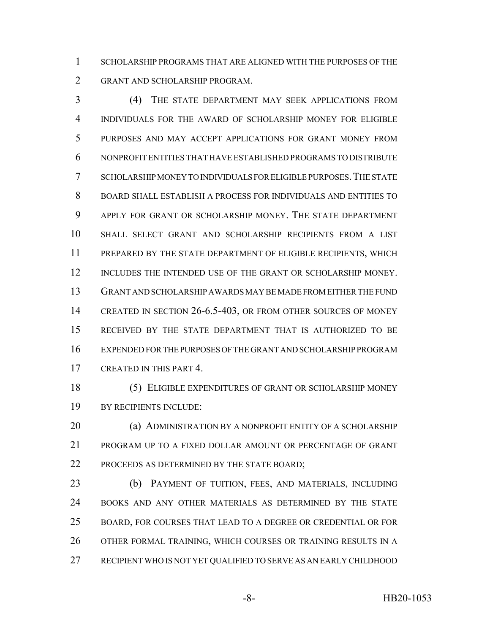SCHOLARSHIP PROGRAMS THAT ARE ALIGNED WITH THE PURPOSES OF THE GRANT AND SCHOLARSHIP PROGRAM.

 (4) THE STATE DEPARTMENT MAY SEEK APPLICATIONS FROM INDIVIDUALS FOR THE AWARD OF SCHOLARSHIP MONEY FOR ELIGIBLE PURPOSES AND MAY ACCEPT APPLICATIONS FOR GRANT MONEY FROM NONPROFIT ENTITIES THAT HAVE ESTABLISHED PROGRAMS TO DISTRIBUTE SCHOLARSHIP MONEY TO INDIVIDUALS FOR ELIGIBLE PURPOSES.THE STATE BOARD SHALL ESTABLISH A PROCESS FOR INDIVIDUALS AND ENTITIES TO APPLY FOR GRANT OR SCHOLARSHIP MONEY. THE STATE DEPARTMENT SHALL SELECT GRANT AND SCHOLARSHIP RECIPIENTS FROM A LIST PREPARED BY THE STATE DEPARTMENT OF ELIGIBLE RECIPIENTS, WHICH INCLUDES THE INTENDED USE OF THE GRANT OR SCHOLARSHIP MONEY. GRANT AND SCHOLARSHIP AWARDS MAY BE MADE FROM EITHER THE FUND CREATED IN SECTION 26-6.5-403, OR FROM OTHER SOURCES OF MONEY RECEIVED BY THE STATE DEPARTMENT THAT IS AUTHORIZED TO BE EXPENDED FOR THE PURPOSES OF THE GRANT AND SCHOLARSHIP PROGRAM CREATED IN THIS PART 4.

 (5) ELIGIBLE EXPENDITURES OF GRANT OR SCHOLARSHIP MONEY BY RECIPIENTS INCLUDE:

**(a) ADMINISTRATION BY A NONPROFIT ENTITY OF A SCHOLARSHIP**  PROGRAM UP TO A FIXED DOLLAR AMOUNT OR PERCENTAGE OF GRANT PROCEEDS AS DETERMINED BY THE STATE BOARD;

 (b) PAYMENT OF TUITION, FEES, AND MATERIALS, INCLUDING BOOKS AND ANY OTHER MATERIALS AS DETERMINED BY THE STATE BOARD, FOR COURSES THAT LEAD TO A DEGREE OR CREDENTIAL OR FOR OTHER FORMAL TRAINING, WHICH COURSES OR TRAINING RESULTS IN A RECIPIENT WHO IS NOT YET QUALIFIED TO SERVE AS AN EARLY CHILDHOOD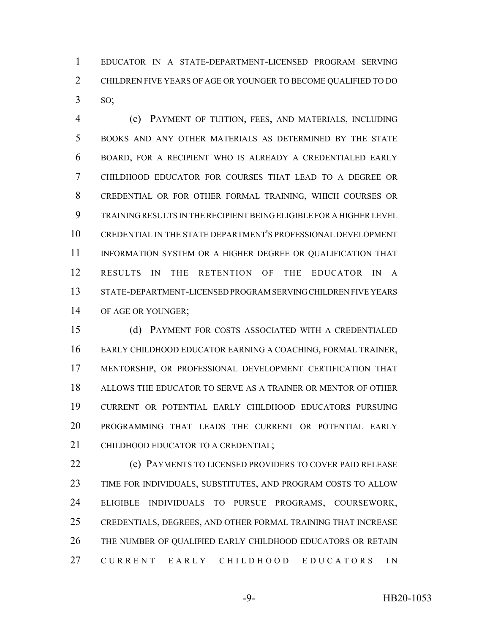EDUCATOR IN A STATE-DEPARTMENT-LICENSED PROGRAM SERVING CHILDREN FIVE YEARS OF AGE OR YOUNGER TO BECOME QUALIFIED TO DO SO;

 (c) PAYMENT OF TUITION, FEES, AND MATERIALS, INCLUDING BOOKS AND ANY OTHER MATERIALS AS DETERMINED BY THE STATE BOARD, FOR A RECIPIENT WHO IS ALREADY A CREDENTIALED EARLY CHILDHOOD EDUCATOR FOR COURSES THAT LEAD TO A DEGREE OR CREDENTIAL OR FOR OTHER FORMAL TRAINING, WHICH COURSES OR TRAINING RESULTS IN THE RECIPIENT BEING ELIGIBLE FOR A HIGHER LEVEL CREDENTIAL IN THE STATE DEPARTMENT'S PROFESSIONAL DEVELOPMENT 11 INFORMATION SYSTEM OR A HIGHER DEGREE OR QUALIFICATION THAT RESULTS IN THE RETENTION OF THE EDUCATOR IN A STATE-DEPARTMENT-LICENSED PROGRAM SERVING CHILDREN FIVE YEARS 14 OF AGE OR YOUNGER;

 (d) PAYMENT FOR COSTS ASSOCIATED WITH A CREDENTIALED EARLY CHILDHOOD EDUCATOR EARNING A COACHING, FORMAL TRAINER, MENTORSHIP, OR PROFESSIONAL DEVELOPMENT CERTIFICATION THAT ALLOWS THE EDUCATOR TO SERVE AS A TRAINER OR MENTOR OF OTHER CURRENT OR POTENTIAL EARLY CHILDHOOD EDUCATORS PURSUING PROGRAMMING THAT LEADS THE CURRENT OR POTENTIAL EARLY 21 CHILDHOOD EDUCATOR TO A CREDENTIAL:

 (e) PAYMENTS TO LICENSED PROVIDERS TO COVER PAID RELEASE TIME FOR INDIVIDUALS, SUBSTITUTES, AND PROGRAM COSTS TO ALLOW ELIGIBLE INDIVIDUALS TO PURSUE PROGRAMS, COURSEWORK, CREDENTIALS, DEGREES, AND OTHER FORMAL TRAINING THAT INCREASE THE NUMBER OF QUALIFIED EARLY CHILDHOOD EDUCATORS OR RETAIN CURRENT EARLY CHILDHOOD EDUCATORS IN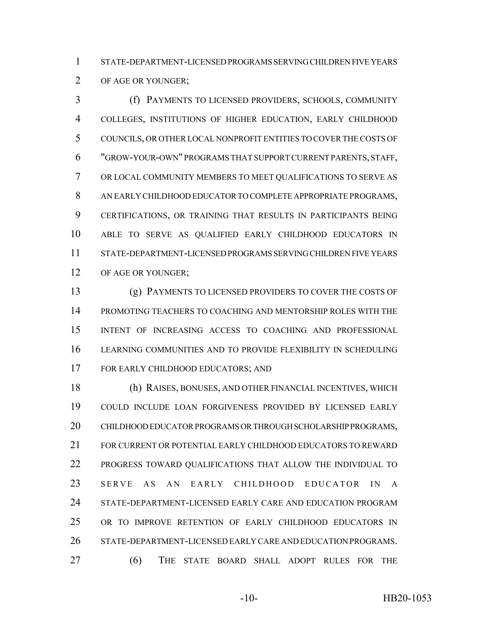STATE-DEPARTMENT-LICENSED PROGRAMS SERVING CHILDREN FIVE YEARS OF AGE OR YOUNGER;

 (f) PAYMENTS TO LICENSED PROVIDERS, SCHOOLS, COMMUNITY COLLEGES, INSTITUTIONS OF HIGHER EDUCATION, EARLY CHILDHOOD COUNCILS, OR OTHER LOCAL NONPROFIT ENTITIES TO COVER THE COSTS OF "GROW-YOUR-OWN" PROGRAMS THAT SUPPORT CURRENT PARENTS, STAFF, OR LOCAL COMMUNITY MEMBERS TO MEET QUALIFICATIONS TO SERVE AS AN EARLY CHILDHOOD EDUCATOR TO COMPLETE APPROPRIATE PROGRAMS, CERTIFICATIONS, OR TRAINING THAT RESULTS IN PARTICIPANTS BEING ABLE TO SERVE AS QUALIFIED EARLY CHILDHOOD EDUCATORS IN STATE-DEPARTMENT-LICENSED PROGRAMS SERVING CHILDREN FIVE YEARS 12 OF AGE OR YOUNGER;

 (g) PAYMENTS TO LICENSED PROVIDERS TO COVER THE COSTS OF PROMOTING TEACHERS TO COACHING AND MENTORSHIP ROLES WITH THE INTENT OF INCREASING ACCESS TO COACHING AND PROFESSIONAL LEARNING COMMUNITIES AND TO PROVIDE FLEXIBILITY IN SCHEDULING 17 FOR EARLY CHILDHOOD EDUCATORS; AND

 (h) RAISES, BONUSES, AND OTHER FINANCIAL INCENTIVES, WHICH COULD INCLUDE LOAN FORGIVENESS PROVIDED BY LICENSED EARLY CHILDHOOD EDUCATOR PROGRAMS OR THROUGH SCHOLARSHIP PROGRAMS, FOR CURRENT OR POTENTIAL EARLY CHILDHOOD EDUCATORS TO REWARD PROGRESS TOWARD QUALIFICATIONS THAT ALLOW THE INDIVIDUAL TO SERVE AS AN EARLY CHILDHOOD EDUCATOR IN A STATE-DEPARTMENT-LICENSED EARLY CARE AND EDUCATION PROGRAM OR TO IMPROVE RETENTION OF EARLY CHILDHOOD EDUCATORS IN STATE-DEPARTMENT-LICENSED EARLY CARE AND EDUCATION PROGRAMS. (6) THE STATE BOARD SHALL ADOPT RULES FOR THE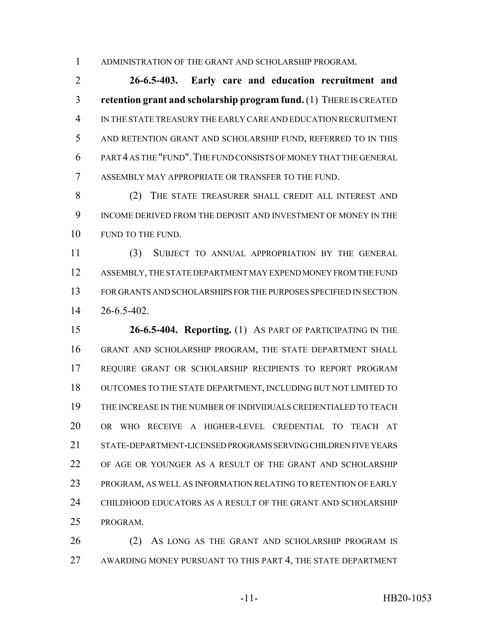ADMINISTRATION OF THE GRANT AND SCHOLARSHIP PROGRAM.

 **26-6.5-403. Early care and education recruitment and retention grant and scholarship program fund.** (1) THERE IS CREATED IN THE STATE TREASURY THE EARLY CARE AND EDUCATION RECRUITMENT AND RETENTION GRANT AND SCHOLARSHIP FUND, REFERRED TO IN THIS PART 4 AS THE "FUND".THE FUND CONSISTS OF MONEY THAT THE GENERAL ASSEMBLY MAY APPROPRIATE OR TRANSFER TO THE FUND.

 (2) THE STATE TREASURER SHALL CREDIT ALL INTEREST AND INCOME DERIVED FROM THE DEPOSIT AND INVESTMENT OF MONEY IN THE 10 FUND TO THE FUND.

 (3) SUBJECT TO ANNUAL APPROPRIATION BY THE GENERAL ASSEMBLY, THE STATE DEPARTMENT MAY EXPEND MONEY FROM THE FUND FOR GRANTS AND SCHOLARSHIPS FOR THE PURPOSES SPECIFIED IN SECTION 26-6.5-402.

 **26-6.5-404. Reporting.** (1) AS PART OF PARTICIPATING IN THE GRANT AND SCHOLARSHIP PROGRAM, THE STATE DEPARTMENT SHALL REQUIRE GRANT OR SCHOLARSHIP RECIPIENTS TO REPORT PROGRAM OUTCOMES TO THE STATE DEPARTMENT, INCLUDING BUT NOT LIMITED TO THE INCREASE IN THE NUMBER OF INDIVIDUALS CREDENTIALED TO TEACH OR WHO RECEIVE A HIGHER-LEVEL CREDENTIAL TO TEACH AT STATE-DEPARTMENT-LICENSED PROGRAMS SERVING CHILDREN FIVE YEARS OF AGE OR YOUNGER AS A RESULT OF THE GRANT AND SCHOLARSHIP PROGRAM, AS WELL AS INFORMATION RELATING TO RETENTION OF EARLY CHILDHOOD EDUCATORS AS A RESULT OF THE GRANT AND SCHOLARSHIP PROGRAM.

26 (2) AS LONG AS THE GRANT AND SCHOLARSHIP PROGRAM IS 27 AWARDING MONEY PURSUANT TO THIS PART 4, THE STATE DEPARTMENT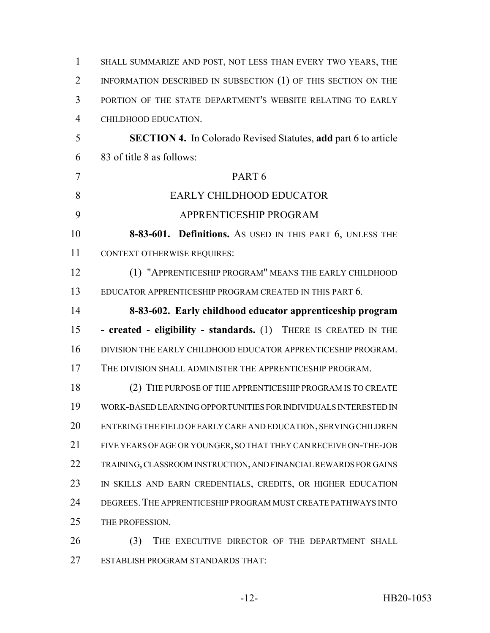| $\mathbf{1}$   | SHALL SUMMARIZE AND POST, NOT LESS THAN EVERY TWO YEARS, THE          |
|----------------|-----------------------------------------------------------------------|
| 2              | INFORMATION DESCRIBED IN SUBSECTION (1) OF THIS SECTION ON THE        |
| 3              | PORTION OF THE STATE DEPARTMENT'S WEBSITE RELATING TO EARLY           |
| $\overline{4}$ | CHILDHOOD EDUCATION.                                                  |
| 5              | <b>SECTION 4.</b> In Colorado Revised Statutes, add part 6 to article |
| 6              | 83 of title 8 as follows:                                             |
| $\tau$         | PART <sub>6</sub>                                                     |
| 8              | EARLY CHILDHOOD EDUCATOR                                              |
| 9              | APPRENTICESHIP PROGRAM                                                |
| 10             | 8-83-601. Definitions. As USED IN THIS PART 6, UNLESS THE             |
| 11             | <b>CONTEXT OTHERWISE REQUIRES:</b>                                    |
| 12             | (1) "APPRENTICESHIP PROGRAM" MEANS THE EARLY CHILDHOOD                |
| 13             | EDUCATOR APPRENTICESHIP PROGRAM CREATED IN THIS PART 6.               |
| 14             | 8-83-602. Early childhood educator apprenticeship program             |
| 15             | - created - eligibility - standards. (1) THERE IS CREATED IN THE      |
| 16             | DIVISION THE EARLY CHILDHOOD EDUCATOR APPRENTICESHIP PROGRAM.         |
| 17             | THE DIVISION SHALL ADMINISTER THE APPRENTICESHIP PROGRAM.             |
| 18             | (2) THE PURPOSE OF THE APPRENTICESHIP PROGRAM IS TO CREATE            |
| 19             | WORK-BASED LEARNING OPPORTUNITIES FOR INDIVIDUALS INTERESTED IN       |
| 20             | ENTERING THE FIELD OF EARLY CARE AND EDUCATION, SERVING CHILDREN      |
| 21             | FIVE YEARS OF AGE OR YOUNGER, SO THAT THEY CAN RECEIVE ON-THE-JOB     |
| 22             | TRAINING, CLASSROOM INSTRUCTION, AND FINANCIAL REWARDS FOR GAINS      |
| 23             | IN SKILLS AND EARN CREDENTIALS, CREDITS, OR HIGHER EDUCATION          |
| 24             | DEGREES. THE APPRENTICESHIP PROGRAM MUST CREATE PATHWAYS INTO         |
| 25             | THE PROFESSION.                                                       |
| 26             | (3)<br>THE EXECUTIVE DIRECTOR OF THE DEPARTMENT SHALL                 |
|                |                                                                       |

ESTABLISH PROGRAM STANDARDS THAT: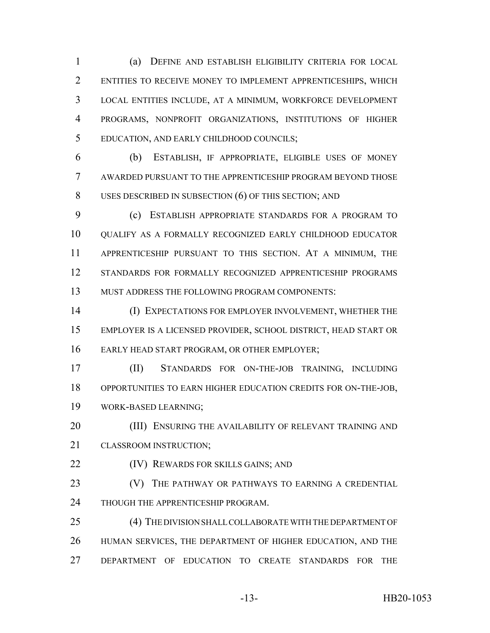(a) DEFINE AND ESTABLISH ELIGIBILITY CRITERIA FOR LOCAL ENTITIES TO RECEIVE MONEY TO IMPLEMENT APPRENTICESHIPS, WHICH LOCAL ENTITIES INCLUDE, AT A MINIMUM, WORKFORCE DEVELOPMENT PROGRAMS, NONPROFIT ORGANIZATIONS, INSTITUTIONS OF HIGHER EDUCATION, AND EARLY CHILDHOOD COUNCILS;

 (b) ESTABLISH, IF APPROPRIATE, ELIGIBLE USES OF MONEY AWARDED PURSUANT TO THE APPRENTICESHIP PROGRAM BEYOND THOSE 8 USES DESCRIBED IN SUBSECTION (6) OF THIS SECTION; AND

 (c) ESTABLISH APPROPRIATE STANDARDS FOR A PROGRAM TO 10 OUALIFY AS A FORMALLY RECOGNIZED EARLY CHILDHOOD EDUCATOR APPRENTICESHIP PURSUANT TO THIS SECTION. AT A MINIMUM, THE STANDARDS FOR FORMALLY RECOGNIZED APPRENTICESHIP PROGRAMS MUST ADDRESS THE FOLLOWING PROGRAM COMPONENTS:

 (I) EXPECTATIONS FOR EMPLOYER INVOLVEMENT, WHETHER THE EMPLOYER IS A LICENSED PROVIDER, SCHOOL DISTRICT, HEAD START OR EARLY HEAD START PROGRAM, OR OTHER EMPLOYER;

 (II) STANDARDS FOR ON-THE-JOB TRAINING, INCLUDING OPPORTUNITIES TO EARN HIGHER EDUCATION CREDITS FOR ON-THE-JOB, WORK-BASED LEARNING;

**(III) ENSURING THE AVAILABILITY OF RELEVANT TRAINING AND** CLASSROOM INSTRUCTION;

- **(IV) REWARDS FOR SKILLS GAINS; AND**
- **(V)** THE PATHWAY OR PATHWAYS TO EARNING A CREDENTIAL 24 THOUGH THE APPRENTICESHIP PROGRAM.
- (4) THE DIVISION SHALL COLLABORATE WITH THE DEPARTMENT OF HUMAN SERVICES, THE DEPARTMENT OF HIGHER EDUCATION, AND THE DEPARTMENT OF EDUCATION TO CREATE STANDARDS FOR THE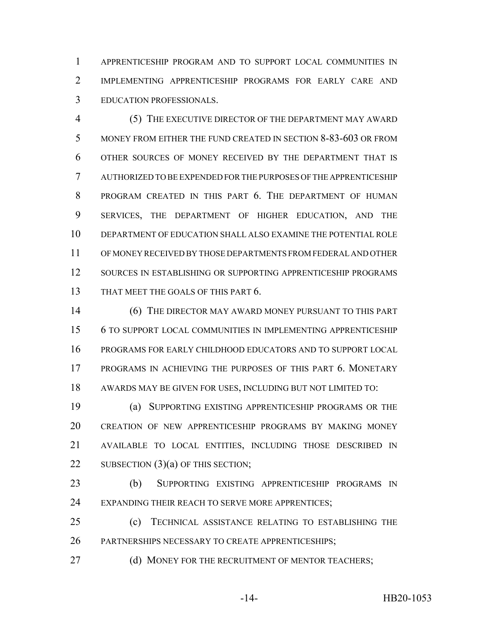APPRENTICESHIP PROGRAM AND TO SUPPORT LOCAL COMMUNITIES IN IMPLEMENTING APPRENTICESHIP PROGRAMS FOR EARLY CARE AND EDUCATION PROFESSIONALS.

 (5) THE EXECUTIVE DIRECTOR OF THE DEPARTMENT MAY AWARD MONEY FROM EITHER THE FUND CREATED IN SECTION 8-83-603 OR FROM OTHER SOURCES OF MONEY RECEIVED BY THE DEPARTMENT THAT IS AUTHORIZED TO BE EXPENDED FOR THE PURPOSES OF THE APPRENTICESHIP PROGRAM CREATED IN THIS PART 6. THE DEPARTMENT OF HUMAN SERVICES, THE DEPARTMENT OF HIGHER EDUCATION, AND THE DEPARTMENT OF EDUCATION SHALL ALSO EXAMINE THE POTENTIAL ROLE OF MONEY RECEIVED BY THOSE DEPARTMENTS FROM FEDERAL AND OTHER SOURCES IN ESTABLISHING OR SUPPORTING APPRENTICESHIP PROGRAMS 13 THAT MEET THE GOALS OF THIS PART 6.

 (6) THE DIRECTOR MAY AWARD MONEY PURSUANT TO THIS PART 6 TO SUPPORT LOCAL COMMUNITIES IN IMPLEMENTING APPRENTICESHIP PROGRAMS FOR EARLY CHILDHOOD EDUCATORS AND TO SUPPORT LOCAL PROGRAMS IN ACHIEVING THE PURPOSES OF THIS PART 6. MONETARY AWARDS MAY BE GIVEN FOR USES, INCLUDING BUT NOT LIMITED TO:

 (a) SUPPORTING EXISTING APPRENTICESHIP PROGRAMS OR THE CREATION OF NEW APPRENTICESHIP PROGRAMS BY MAKING MONEY AVAILABLE TO LOCAL ENTITIES, INCLUDING THOSE DESCRIBED IN 22 SUBSECTION  $(3)(a)$  OF THIS SECTION;

 (b) SUPPORTING EXISTING APPRENTICESHIP PROGRAMS IN 24 EXPANDING THEIR REACH TO SERVE MORE APPRENTICES;

 (c) TECHNICAL ASSISTANCE RELATING TO ESTABLISHING THE PARTNERSHIPS NECESSARY TO CREATE APPRENTICESHIPS;

**(d) MONEY FOR THE RECRUITMENT OF MENTOR TEACHERS;**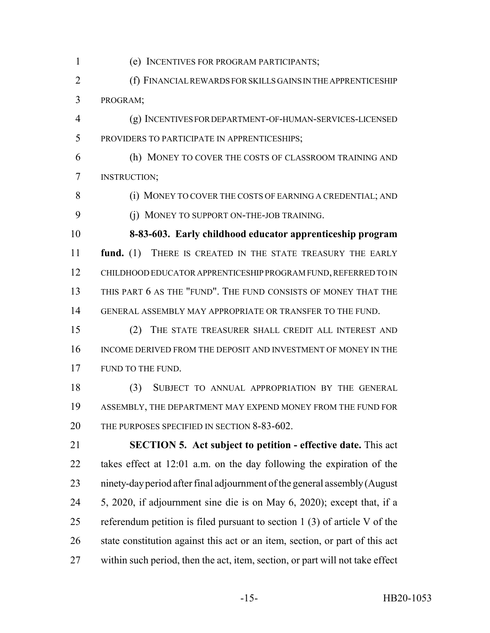- (e) INCENTIVES FOR PROGRAM PARTICIPANTS;
- (f) FINANCIAL REWARDS FOR SKILLS GAINS IN THE APPRENTICESHIP PROGRAM;
- (g) INCENTIVES FOR DEPARTMENT-OF-HUMAN-SERVICES-LICENSED PROVIDERS TO PARTICIPATE IN APPRENTICESHIPS;
- (h) MONEY TO COVER THE COSTS OF CLASSROOM TRAINING AND INSTRUCTION;
- 8 (i) MONEY TO COVER THE COSTS OF EARNING A CREDENTIAL; AND
- (j) MONEY TO SUPPORT ON-THE-JOB TRAINING.

 **8-83-603. Early childhood educator apprenticeship program fund.** (1) THERE IS CREATED IN THE STATE TREASURY THE EARLY CHILDHOOD EDUCATOR APPRENTICESHIP PROGRAM FUND, REFERRED TO IN THIS PART 6 AS THE "FUND". THE FUND CONSISTS OF MONEY THAT THE GENERAL ASSEMBLY MAY APPROPRIATE OR TRANSFER TO THE FUND.

 (2) THE STATE TREASURER SHALL CREDIT ALL INTEREST AND INCOME DERIVED FROM THE DEPOSIT AND INVESTMENT OF MONEY IN THE 17 FUND TO THE FUND.

 (3) SUBJECT TO ANNUAL APPROPRIATION BY THE GENERAL ASSEMBLY, THE DEPARTMENT MAY EXPEND MONEY FROM THE FUND FOR 20 THE PURPOSES SPECIFIED IN SECTION 8-83-602.

 **SECTION 5. Act subject to petition - effective date.** This act takes effect at 12:01 a.m. on the day following the expiration of the ninety-day period after final adjournment of the general assembly (August 5, 2020, if adjournment sine die is on May 6, 2020); except that, if a referendum petition is filed pursuant to section 1 (3) of article V of the state constitution against this act or an item, section, or part of this act within such period, then the act, item, section, or part will not take effect